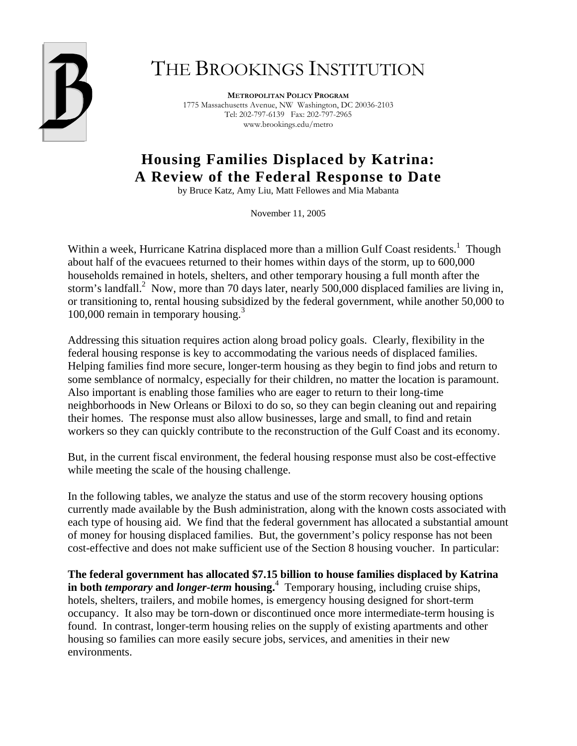

# THE BROOKINGS INSTITUTION

**METROPOLITAN POLICY PROGRAM** 1775 Massachusetts Avenue, NW Washington, DC 20036-2103 Tel: 202-797-6139 Fax: 202-797-2965 www.brookings.edu/metro

# **Housing Families Displaced by Katrina: A Review of the Federal Response to Date**

by Bruce Katz, Amy Liu, Matt Fellowes and Mia Mabanta

November 11, 2005

Within a week, Hurricane Katrina displaced more than a million Gulf Coast residents.<sup>1</sup> Though about half of the evacuees returned to their homes within days of the storm, up to 600,000 households remained in hotels, shelters, and other temporary housing a full month after the storm's landfall.<sup>2</sup> Now, more than 70 days later, nearly 500,000 displaced families are living in, or transitioning to, rental housing subsidized by the federal government, while another 50,000 to 100,000 remain in temporary housing.<sup>3</sup>

Addressing this situation requires action along broad policy goals. Clearly, flexibility in the federal housing response is key to accommodating the various needs of displaced families. Helping families find more secure, longer-term housing as they begin to find jobs and return to some semblance of normalcy, especially for their children, no matter the location is paramount. Also important is enabling those families who are eager to return to their long-time neighborhoods in New Orleans or Biloxi to do so, so they can begin cleaning out and repairing their homes. The response must also allow businesses, large and small, to find and retain workers so they can quickly contribute to the reconstruction of the Gulf Coast and its economy.

But, in the current fiscal environment, the federal housing response must also be cost-effective while meeting the scale of the housing challenge.

In the following tables, we analyze the status and use of the storm recovery housing options currently made available by the Bush administration, along with the known costs associated with each type of housing aid. We find that the federal government has allocated a substantial amount of money for housing displaced families. But, the government's policy response has not been cost-effective and does not make sufficient use of the Section 8 housing voucher. In particular:

**The federal government has allocated \$7.15 billion to house families displaced by Katrina in both** *temporary* **and** *longer-term* **housing.**<sup>4</sup> Temporary housing, including cruise ships, hotels, shelters, trailers, and mobile homes, is emergency housing designed for short-term occupancy. It also may be torn-down or discontinued once more intermediate-term housing is found. In contrast, longer-term housing relies on the supply of existing apartments and other housing so families can more easily secure jobs, services, and amenities in their new environments.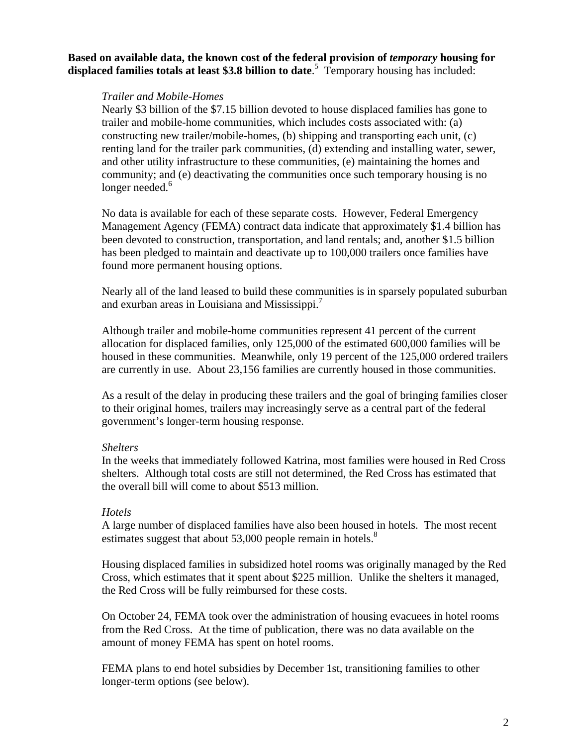**Based on available data, the known cost of the federal provision of** *temporary* **housing for displaced families totals at least \$3.8 billion to date**. 5 Temporary housing has included:

## *Trailer and Mobile-Homes*

Nearly \$3 billion of the \$7.15 billion devoted to house displaced families has gone to trailer and mobile-home communities, which includes costs associated with: (a) constructing new trailer/mobile-homes, (b) shipping and transporting each unit, (c) renting land for the trailer park communities, (d) extending and installing water, sewer, and other utility infrastructure to these communities, (e) maintaining the homes and community; and (e) deactivating the communities once such temporary housing is no longer needed.<sup>6</sup>

No data is available for each of these separate costs. However, Federal Emergency Management Agency (FEMA) contract data indicate that approximately \$1.4 billion has been devoted to construction, transportation, and land rentals; and, another \$1.5 billion has been pledged to maintain and deactivate up to 100,000 trailers once families have found more permanent housing options.

Nearly all of the land leased to build these communities is in sparsely populated suburban and exurban areas in Louisiana and Mississippi.7

Although trailer and mobile-home communities represent 41 percent of the current allocation for displaced families, only 125,000 of the estimated 600,000 families will be housed in these communities. Meanwhile, only 19 percent of the 125,000 ordered trailers are currently in use. About 23,156 families are currently housed in those communities.

As a result of the delay in producing these trailers and the goal of bringing families closer to their original homes, trailers may increasingly serve as a central part of the federal government's longer-term housing response.

## *Shelters*

In the weeks that immediately followed Katrina, most families were housed in Red Cross shelters. Although total costs are still not determined, the Red Cross has estimated that the overall bill will come to about \$513 million.

# *Hotels*

A large number of displaced families have also been housed in hotels. The most recent estimates suggest that about 53,000 people remain in hotels.<sup>8</sup>

Housing displaced families in subsidized hotel rooms was originally managed by the Red Cross, which estimates that it spent about \$225 million. Unlike the shelters it managed, the Red Cross will be fully reimbursed for these costs.

On October 24, FEMA took over the administration of housing evacuees in hotel rooms from the Red Cross. At the time of publication, there was no data available on the amount of money FEMA has spent on hotel rooms.

FEMA plans to end hotel subsidies by December 1st, transitioning families to other longer-term options (see below).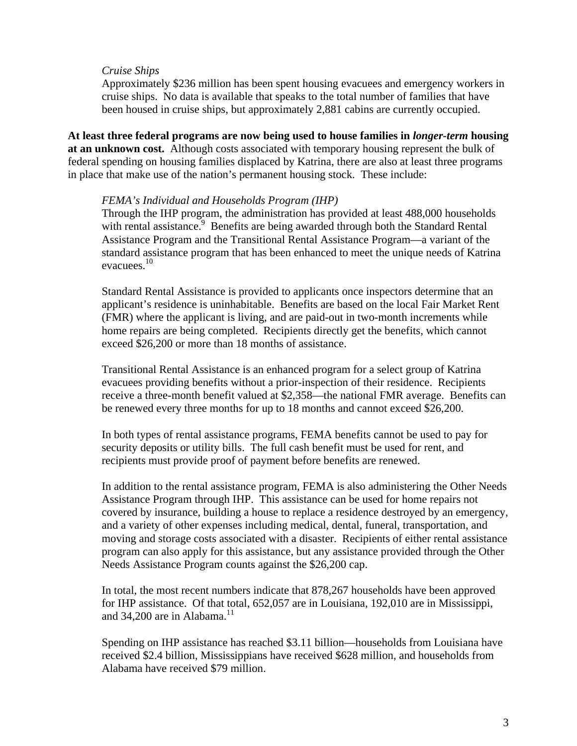#### *Cruise Ships*

Approximately \$236 million has been spent housing evacuees and emergency workers in cruise ships. No data is available that speaks to the total number of families that have been housed in cruise ships, but approximately 2,881 cabins are currently occupied.

**At least three federal programs are now being used to house families in** *longer-term* **housing at an unknown cost.** Although costs associated with temporary housing represent the bulk of federal spending on housing families displaced by Katrina, there are also at least three programs in place that make use of the nation's permanent housing stock. These include:

#### *FEMA's Individual and Households Program (IHP)*

Through the IHP program, the administration has provided at least 488,000 households with rental assistance.<sup>9</sup> Benefits are being awarded through both the Standard Rental Assistance Program and the Transitional Rental Assistance Program—a variant of the standard assistance program that has been enhanced to meet the unique needs of Katrina evacuees.<sup>10</sup>

Standard Rental Assistance is provided to applicants once inspectors determine that an applicant's residence is uninhabitable. Benefits are based on the local Fair Market Rent (FMR) where the applicant is living, and are paid-out in two-month increments while home repairs are being completed. Recipients directly get the benefits, which cannot exceed \$26,200 or more than 18 months of assistance.

Transitional Rental Assistance is an enhanced program for a select group of Katrina evacuees providing benefits without a prior-inspection of their residence. Recipients receive a three-month benefit valued at \$2,358—the national FMR average. Benefits can be renewed every three months for up to 18 months and cannot exceed \$26,200.

In both types of rental assistance programs, FEMA benefits cannot be used to pay for security deposits or utility bills. The full cash benefit must be used for rent, and recipients must provide proof of payment before benefits are renewed.

In addition to the rental assistance program, FEMA is also administering the Other Needs Assistance Program through IHP. This assistance can be used for home repairs not covered by insurance, building a house to replace a residence destroyed by an emergency, and a variety of other expenses including medical, dental, funeral, transportation, and moving and storage costs associated with a disaster. Recipients of either rental assistance program can also apply for this assistance, but any assistance provided through the Other Needs Assistance Program counts against the \$26,200 cap.

In total, the most recent numbers indicate that 878,267 households have been approved for IHP assistance. Of that total, 652,057 are in Louisiana, 192,010 are in Mississippi, and  $34,200$  are in Alabama.<sup>11</sup>

Spending on IHP assistance has reached \$3.11 billion—households from Louisiana have received \$2.4 billion, Mississippians have received \$628 million, and households from Alabama have received \$79 million.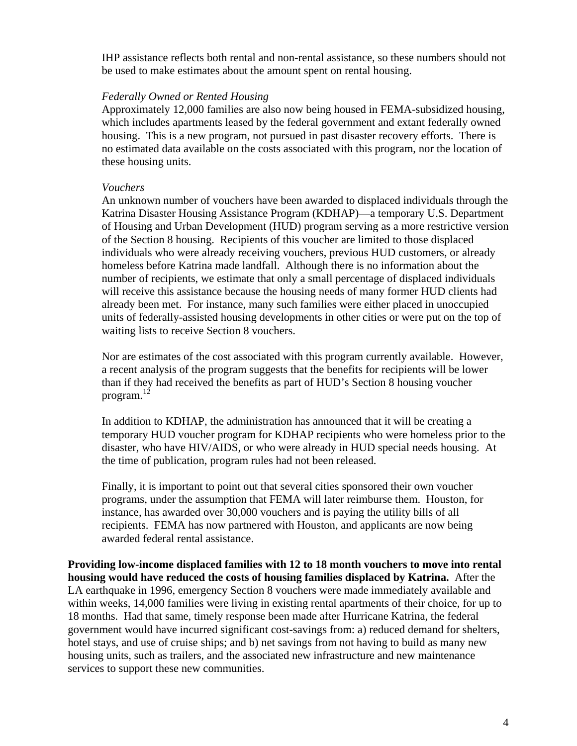IHP assistance reflects both rental and non-rental assistance, so these numbers should not be used to make estimates about the amount spent on rental housing.

## *Federally Owned or Rented Housing*

Approximately 12,000 families are also now being housed in FEMA-subsidized housing, which includes apartments leased by the federal government and extant federally owned housing. This is a new program, not pursued in past disaster recovery efforts. There is no estimated data available on the costs associated with this program, nor the location of these housing units.

#### *Vouchers*

An unknown number of vouchers have been awarded to displaced individuals through the Katrina Disaster Housing Assistance Program (KDHAP)—a temporary U.S. Department of Housing and Urban Development (HUD) program serving as a more restrictive version of the Section 8 housing. Recipients of this voucher are limited to those displaced individuals who were already receiving vouchers, previous HUD customers, or already homeless before Katrina made landfall. Although there is no information about the number of recipients, we estimate that only a small percentage of displaced individuals will receive this assistance because the housing needs of many former HUD clients had already been met. For instance, many such families were either placed in unoccupied units of federally-assisted housing developments in other cities or were put on the top of waiting lists to receive Section 8 vouchers.

Nor are estimates of the cost associated with this program currently available. However, a recent analysis of the program suggests that the benefits for recipients will be lower than if they had received the benefits as part of HUD's Section 8 housing voucher program.<sup>12</sup>

In addition to KDHAP, the administration has announced that it will be creating a temporary HUD voucher program for KDHAP recipients who were homeless prior to the disaster, who have HIV/AIDS, or who were already in HUD special needs housing. At the time of publication, program rules had not been released.

Finally, it is important to point out that several cities sponsored their own voucher programs, under the assumption that FEMA will later reimburse them. Houston, for instance, has awarded over 30,000 vouchers and is paying the utility bills of all recipients. FEMA has now partnered with Houston, and applicants are now being awarded federal rental assistance.

**Providing low-income displaced families with 12 to 18 month vouchers to move into rental housing would have reduced the costs of housing families displaced by Katrina.** After the LA earthquake in 1996, emergency Section 8 vouchers were made immediately available and within weeks, 14,000 families were living in existing rental apartments of their choice, for up to 18 months. Had that same, timely response been made after Hurricane Katrina, the federal government would have incurred significant cost-savings from: a) reduced demand for shelters, hotel stays, and use of cruise ships; and b) net savings from not having to build as many new housing units, such as trailers, and the associated new infrastructure and new maintenance services to support these new communities.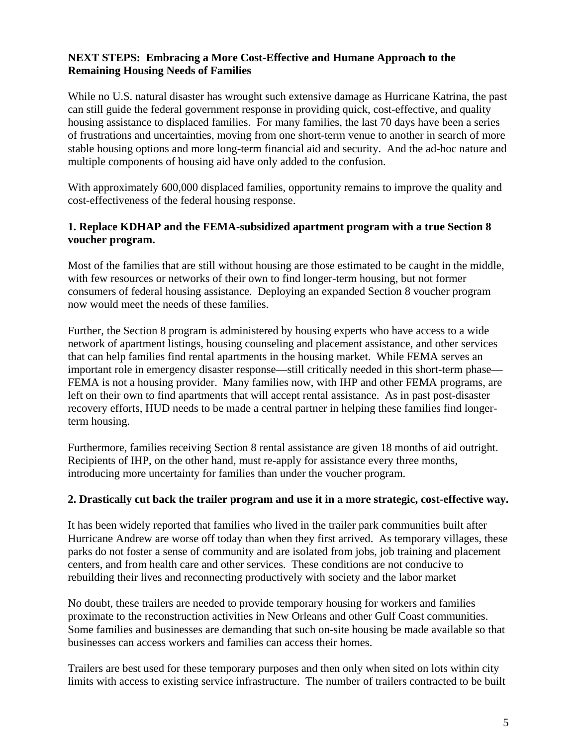# **NEXT STEPS: Embracing a More Cost-Effective and Humane Approach to the Remaining Housing Needs of Families**

While no U.S. natural disaster has wrought such extensive damage as Hurricane Katrina, the past can still guide the federal government response in providing quick, cost-effective, and quality housing assistance to displaced families. For many families, the last 70 days have been a series of frustrations and uncertainties, moving from one short-term venue to another in search of more stable housing options and more long-term financial aid and security. And the ad-hoc nature and multiple components of housing aid have only added to the confusion.

With approximately 600,000 displaced families, opportunity remains to improve the quality and cost-effectiveness of the federal housing response.

# **1. Replace KDHAP and the FEMA-subsidized apartment program with a true Section 8 voucher program.**

Most of the families that are still without housing are those estimated to be caught in the middle, with few resources or networks of their own to find longer-term housing, but not former consumers of federal housing assistance. Deploying an expanded Section 8 voucher program now would meet the needs of these families.

Further, the Section 8 program is administered by housing experts who have access to a wide network of apartment listings, housing counseling and placement assistance, and other services that can help families find rental apartments in the housing market. While FEMA serves an important role in emergency disaster response—still critically needed in this short-term phase— FEMA is not a housing provider. Many families now, with IHP and other FEMA programs, are left on their own to find apartments that will accept rental assistance. As in past post-disaster recovery efforts, HUD needs to be made a central partner in helping these families find longerterm housing.

Furthermore, families receiving Section 8 rental assistance are given 18 months of aid outright. Recipients of IHP, on the other hand, must re-apply for assistance every three months, introducing more uncertainty for families than under the voucher program.

# **2. Drastically cut back the trailer program and use it in a more strategic, cost-effective way.**

It has been widely reported that families who lived in the trailer park communities built after Hurricane Andrew are worse off today than when they first arrived. As temporary villages, these parks do not foster a sense of community and are isolated from jobs, job training and placement centers, and from health care and other services. These conditions are not conducive to rebuilding their lives and reconnecting productively with society and the labor market

No doubt, these trailers are needed to provide temporary housing for workers and families proximate to the reconstruction activities in New Orleans and other Gulf Coast communities. Some families and businesses are demanding that such on-site housing be made available so that businesses can access workers and families can access their homes.

Trailers are best used for these temporary purposes and then only when sited on lots within city limits with access to existing service infrastructure. The number of trailers contracted to be built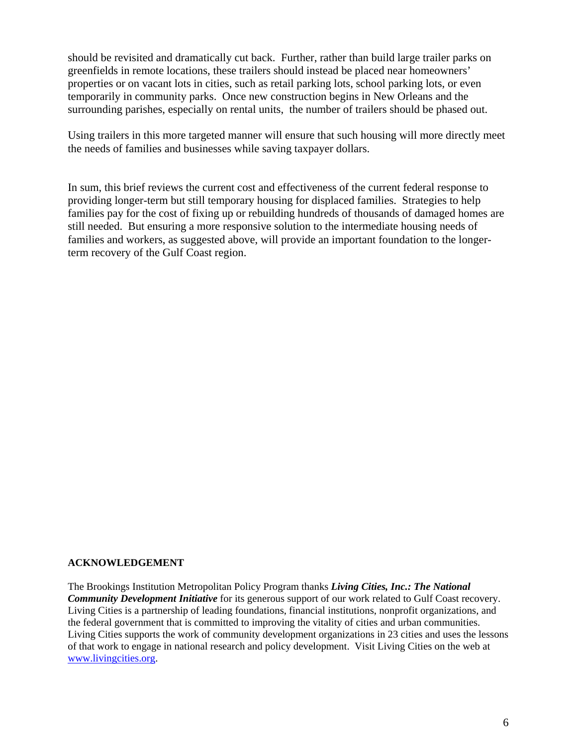should be revisited and dramatically cut back. Further, rather than build large trailer parks on greenfields in remote locations, these trailers should instead be placed near homeowners' properties or on vacant lots in cities, such as retail parking lots, school parking lots, or even temporarily in community parks. Once new construction begins in New Orleans and the surrounding parishes, especially on rental units, the number of trailers should be phased out.

Using trailers in this more targeted manner will ensure that such housing will more directly meet the needs of families and businesses while saving taxpayer dollars.

In sum, this brief reviews the current cost and effectiveness of the current federal response to providing longer-term but still temporary housing for displaced families. Strategies to help families pay for the cost of fixing up or rebuilding hundreds of thousands of damaged homes are still needed. But ensuring a more responsive solution to the intermediate housing needs of families and workers, as suggested above, will provide an important foundation to the longerterm recovery of the Gulf Coast region.

#### **ACKNOWLEDGEMENT**

The Brookings Institution Metropolitan Policy Program thanks *Living Cities, Inc.: The National Community Development Initiative* for its generous support of our work related to Gulf Coast recovery. Living Cities is a partnership of leading foundations, financial institutions, nonprofit organizations, and the federal government that is committed to improving the vitality of cities and urban communities. Living Cities supports the work of community development organizations in 23 cities and uses the lessons of that work to engage in national research and policy development. Visit Living Cities on the web at www.livingcities.org.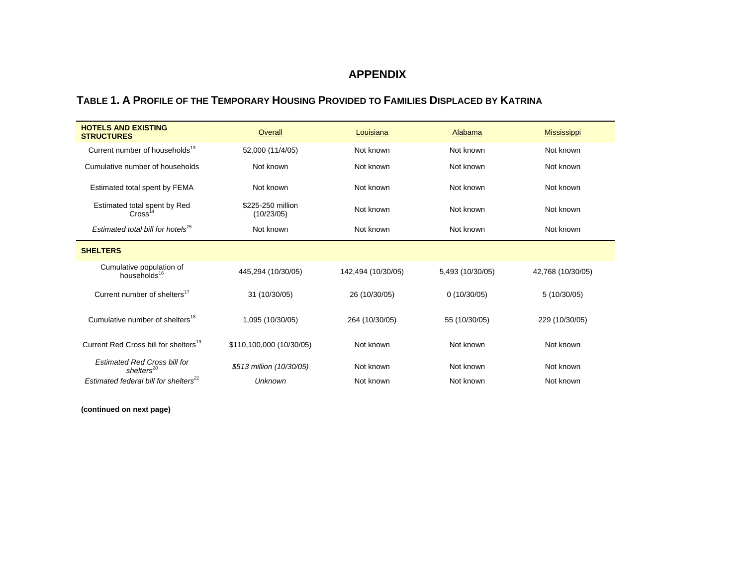#### **APPENDIX**

#### **TABLE 1. A PROFILE OF THE TEMPORARY HOUSING PROVIDED TO FAMILIES DISPLACED BY KATRINA**

| <b>HOTELS AND EXISTING</b><br><b>STRUCTURES</b>               | Overall                         | Louisiana          | <b>Alabama</b>         | <b>Mississippi</b> |
|---------------------------------------------------------------|---------------------------------|--------------------|------------------------|--------------------|
| Current number of households <sup>13</sup>                    | 52,000 (11/4/05)                | Not known          | Not known              | Not known          |
| Cumulative number of households                               | Not known                       | Not known          | Not known              | Not known          |
| Estimated total spent by FEMA                                 | Not known                       | Not known          | Not known              | Not known          |
| Estimated total spent by Red<br>Cross <sup>14</sup>           | \$225-250 million<br>(10/23/05) | Not known          | Not known              | Not known          |
| Estimated total bill for hotels <sup>15</sup>                 | Not known                       | Not known          | Not known              | Not known          |
| <b>SHELTERS</b>                                               |                                 |                    |                        |                    |
| Cumulative population of<br>households <sup>16</sup>          | 445,294 (10/30/05)              | 142,494 (10/30/05) | 5,493 (10/30/05)       | 42,768 (10/30/05)  |
| Current number of shelters <sup>17</sup>                      | 31 (10/30/05)                   | 26 (10/30/05)      | 0(10/30/05)            | 5(10/30/05)        |
| Cumulative number of shelters <sup>18</sup>                   | 1,095 (10/30/05)                | 264 (10/30/05)     | 55 (10/30/05)          | 229 (10/30/05)     |
| Current Red Cross bill for shelters <sup>19</sup>             | \$110,100,000 (10/30/05)        | Not known          | Not known              | Not known          |
| <b>Estimated Red Cross bill for</b><br>shelters <sup>20</sup> | \$513 million (10/30/05)        | Not known          | Not known              | Not known          |
| Estimated federal bill for shelters <sup>21</sup>             | <b>Unknown</b>                  | Not known          | Not known<br>Not known |                    |

**(continued on next page)**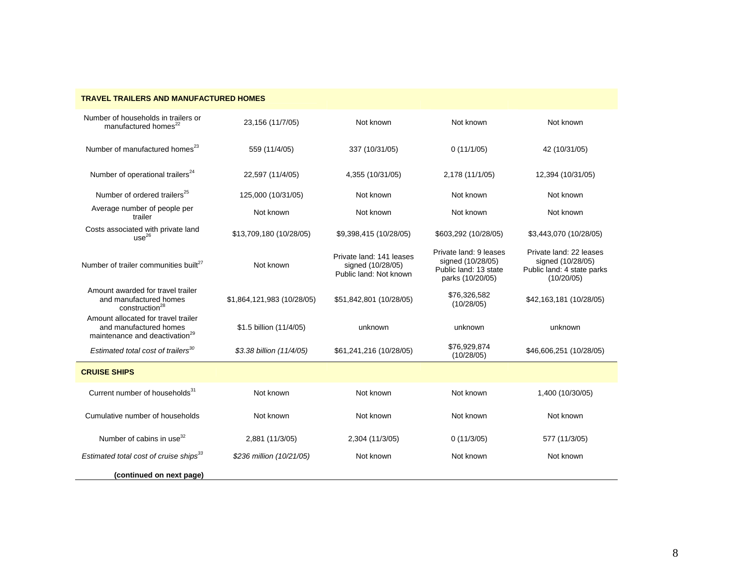| TRAVEL TRAILERS AND MANUFACTURED HOMES                                                                      |                            |                                                                         |                                                                                          |                                                                                          |  |
|-------------------------------------------------------------------------------------------------------------|----------------------------|-------------------------------------------------------------------------|------------------------------------------------------------------------------------------|------------------------------------------------------------------------------------------|--|
| Number of households in trailers or<br>manufactured homes <sup>22</sup>                                     | 23,156 (11/7/05)           | Not known                                                               | Not known                                                                                | Not known                                                                                |  |
| Number of manufactured homes <sup>23</sup>                                                                  | 559 (11/4/05)              | 337 (10/31/05)                                                          | 0(11/1/05)                                                                               | 42 (10/31/05)                                                                            |  |
| Number of operational trailers <sup>24</sup>                                                                | 22,597 (11/4/05)           | 4,355 (10/31/05)                                                        | 2,178 (11/1/05)                                                                          | 12,394 (10/31/05)                                                                        |  |
| Number of ordered trailers <sup>25</sup>                                                                    | 125,000 (10/31/05)         | Not known                                                               | Not known                                                                                | Not known                                                                                |  |
| Average number of people per<br>trailer                                                                     | Not known                  | Not known                                                               | Not known                                                                                | Not known                                                                                |  |
| Costs associated with private land<br>use <sup>26</sup>                                                     | \$13,709,180 (10/28/05)    | \$9,398,415 (10/28/05)                                                  | \$603,292 (10/28/05)                                                                     | \$3,443,070 (10/28/05)                                                                   |  |
| Number of trailer communities built <sup>27</sup>                                                           | Not known                  | Private land: 141 leases<br>signed (10/28/05)<br>Public land: Not known | Private land: 9 leases<br>signed (10/28/05)<br>Public land: 13 state<br>parks (10/20/05) | Private land: 22 leases<br>signed (10/28/05)<br>Public land: 4 state parks<br>(10/20/05) |  |
| Amount awarded for travel trailer<br>and manufactured homes<br>construction <sup>28</sup>                   | \$1,864,121,983 (10/28/05) | \$51,842,801 (10/28/05)                                                 | \$76,326,582<br>(10/28/05)                                                               | \$42,163,181 (10/28/05)                                                                  |  |
| Amount allocated for travel trailer<br>and manufactured homes<br>maintenance and deactivation <sup>29</sup> | \$1.5 billion (11/4/05)    | unknown                                                                 | unknown                                                                                  | unknown                                                                                  |  |
| Estimated total cost of trailers <sup>30</sup>                                                              | \$3.38 billion (11/4/05)   | \$61,241,216 (10/28/05)                                                 | \$76,929,874<br>(10/28/05)                                                               | \$46,606,251 (10/28/05)                                                                  |  |
| <b>CRUISE SHIPS</b>                                                                                         |                            |                                                                         |                                                                                          |                                                                                          |  |
| Current number of households <sup>31</sup>                                                                  | Not known                  | Not known                                                               | Not known                                                                                | 1,400 (10/30/05)                                                                         |  |
| Cumulative number of households                                                                             | Not known                  | Not known                                                               | Not known                                                                                | Not known                                                                                |  |
| Number of cabins in use <sup>32</sup>                                                                       | 2,881 (11/3/05)            | 2,304 (11/3/05)                                                         | 577 (11/3/05)<br>0(11/3/05)                                                              |                                                                                          |  |
| Estimated total cost of cruise ships <sup>33</sup>                                                          | \$236 million (10/21/05)   | Not known                                                               | Not known<br>Not known                                                                   |                                                                                          |  |
| (continued on next page)                                                                                    |                            |                                                                         |                                                                                          |                                                                                          |  |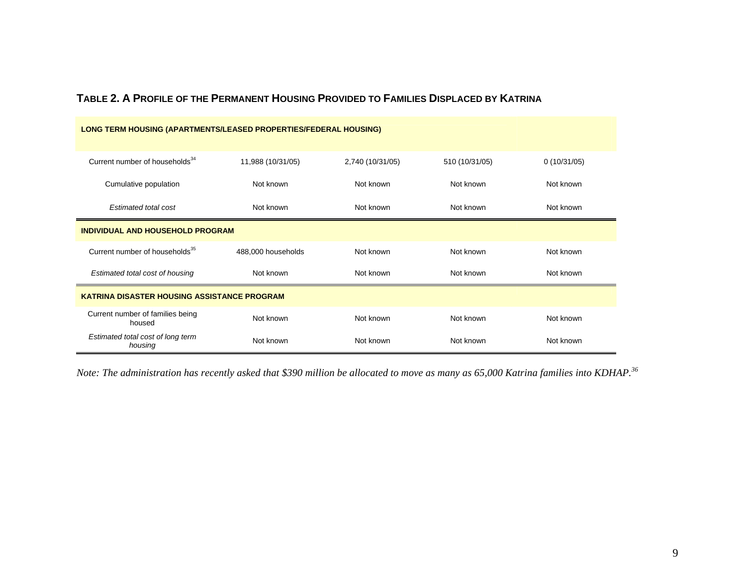| LONG TERM HOUSING (APARTMENTS/LEASED PROPERTIES/FEDERAL HOUSING) |                    |                  |                        |             |  |
|------------------------------------------------------------------|--------------------|------------------|------------------------|-------------|--|
| Current number of households <sup>34</sup>                       | 11,988 (10/31/05)  | 2,740 (10/31/05) | 510 (10/31/05)         | 0(10/31/05) |  |
| Cumulative population                                            | Not known          | Not known        | Not known              | Not known   |  |
| Estimated total cost                                             | Not known          | Not known        | Not known              | Not known   |  |
| <b>INDIVIDUAL AND HOUSEHOLD PROGRAM</b>                          |                    |                  |                        |             |  |
| Current number of households <sup>35</sup>                       | 488,000 households | Not known        | Not known              | Not known   |  |
| Estimated total cost of housing                                  | Not known          | Not known        | Not known              | Not known   |  |
| <b>KATRINA DISASTER HOUSING ASSISTANCE PROGRAM</b>               |                    |                  |                        |             |  |
| Current number of families being<br>housed                       | Not known          | Not known        | Not known              | Not known   |  |
| Estimated total cost of long term<br>housing                     | Not known          | Not known        | Not known<br>Not known |             |  |

# **TABLE 2. A PROFILE OF THE PERMANENT HOUSING PROVIDED TO FAMILIES DISPLACED BY KATRINA**

*Note: The administration has recently asked that \$390 million be allocated to move as many as 65,000 Katrina families into KDHAP.<sup>36</sup>*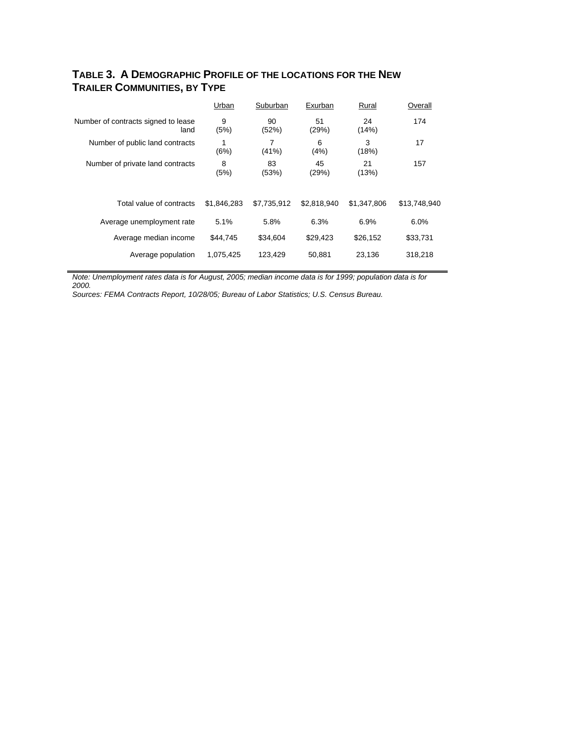# **TABLE 3. A DEMOGRAPHIC PROFILE OF THE LOCATIONS FOR THE NEW TRAILER COMMUNITIES, BY TYPE**

|                                             | Urban       | Suburban    | Exurban     | Rural       | Overall      |
|---------------------------------------------|-------------|-------------|-------------|-------------|--------------|
| Number of contracts signed to lease<br>land | 9<br>(5%)   | 90<br>(52%) | 51<br>(29%) | 24<br>(14%) | 174          |
| Number of public land contracts             | 1<br>(6%)   | 7<br>(41%)  | 6<br>(4%)   | 3<br>(18%)  | 17           |
| Number of private land contracts            | 8<br>(5%)   | 83<br>(53%) | 45<br>(29%) | 21<br>(13%) | 157          |
| Total value of contracts                    | \$1.846.283 | \$7.735.912 | \$2.818.940 | \$1,347,806 | \$13,748,940 |
| Average unemployment rate                   | 5.1%        | 5.8%        | 6.3%        | 6.9%        | 6.0%         |
| Average median income                       | \$44,745    | \$34,604    | \$29,423    | \$26,152    | \$33,731     |
| Average population                          | 1,075,425   | 123,429     | 50,881      | 23,136      | 318,218      |

*Note: Unemployment rates data is for August, 2005; median income data is for 1999; population data is for 2000.* 

*Sources: FEMA Contracts Report, 10/28/05; Bureau of Labor Statistics; U.S. Census Bureau.*